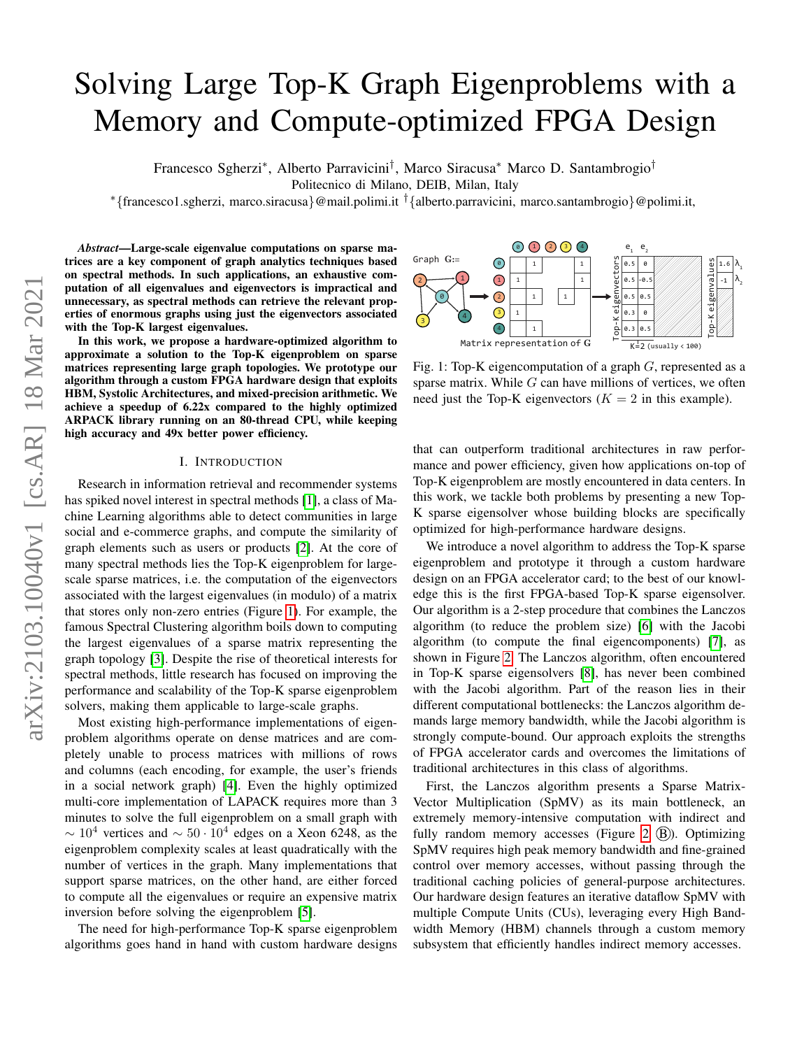# Solving Large Top-K Graph Eigenproblems with a Memory and Compute-optimized FPGA Design

Francesco Sgherzi<sup>∗</sup> , Alberto Parravicini† , Marco Siracusa<sup>∗</sup> Marco D. Santambrogio†

Politecnico di Milano, DEIB, Milan, Italy

<sup>∗</sup>{francesco1.sgherzi, marco.siracusa}@mail.polimi.it †{alberto.parravicini, marco.santambrogio}@polimi.it,

*Abstract*—Large-scale eigenvalue computations on sparse matrices are a key component of graph analytics techniques based on spectral methods. In such applications, an exhaustive computation of all eigenvalues and eigenvectors is impractical and unnecessary, as spectral methods can retrieve the relevant properties of enormous graphs using just the eigenvectors associated with the Top-K largest eigenvalues.

In this work, we propose a hardware-optimized algorithm to approximate a solution to the Top-K eigenproblem on sparse matrices representing large graph topologies. We prototype our algorithm through a custom FPGA hardware design that exploits HBM, Systolic Architectures, and mixed-precision arithmetic. We achieve a speedup of 6.22x compared to the highly optimized ARPACK library running on an 80-thread CPU, while keeping high accuracy and 49x better power efficiency.

#### I. INTRODUCTION

Research in information retrieval and recommender systems has spiked novel interest in spectral methods [\[1\]](#page-8-0), a class of Machine Learning algorithms able to detect communities in large social and e-commerce graphs, and compute the similarity of graph elements such as users or products [\[2\]](#page-8-1). At the core of many spectral methods lies the Top-K eigenproblem for largescale sparse matrices, i.e. the computation of the eigenvectors associated with the largest eigenvalues (in modulo) of a matrix that stores only non-zero entries (Figure [1\)](#page-0-0). For example, the famous Spectral Clustering algorithm boils down to computing the largest eigenvalues of a sparse matrix representing the graph topology [\[3\]](#page-8-2). Despite the rise of theoretical interests for spectral methods, little research has focused on improving the performance and scalability of the Top-K sparse eigenproblem solvers, making them applicable to large-scale graphs.

Most existing high-performance implementations of eigenproblem algorithms operate on dense matrices and are completely unable to process matrices with millions of rows and columns (each encoding, for example, the user's friends in a social network graph) [\[4\]](#page-8-3). Even the highly optimized multi-core implementation of LAPACK requires more than 3 minutes to solve the full eigenproblem on a small graph with  $\sim 10^4$  vertices and  $\sim 50 \cdot 10^4$  edges on a Xeon 6248, as the eigenproblem complexity scales at least quadratically with the number of vertices in the graph. Many implementations that support sparse matrices, on the other hand, are either forced to compute all the eigenvalues or require an expensive matrix inversion before solving the eigenproblem [\[5\]](#page-8-4).

The need for high-performance Top-K sparse eigenproblem algorithms goes hand in hand with custom hardware designs

<span id="page-0-0"></span>

Fig. 1: Top-K eigencomputation of a graph  $G$ , represented as a sparse matrix. While  $G$  can have millions of vertices, we often need just the Top-K eigenvectors ( $K = 2$  in this example).

that can outperform traditional architectures in raw performance and power efficiency, given how applications on-top of Top-K eigenproblem are mostly encountered in data centers. In this work, we tackle both problems by presenting a new Top-K sparse eigensolver whose building blocks are specifically optimized for high-performance hardware designs.

We introduce a novel algorithm to address the Top-K sparse eigenproblem and prototype it through a custom hardware design on an FPGA accelerator card; to the best of our knowledge this is the first FPGA-based Top-K sparse eigensolver. Our algorithm is a 2-step procedure that combines the Lanczos algorithm (to reduce the problem size) [\[6\]](#page-8-5) with the Jacobi algorithm (to compute the final eigencomponents) [\[7\]](#page-8-6), as shown in Figure [2.](#page-1-0) The Lanczos algorithm, often encountered in Top-K sparse eigensolvers [\[8\]](#page-8-7), has never been combined with the Jacobi algorithm. Part of the reason lies in their different computational bottlenecks: the Lanczos algorithm demands large memory bandwidth, while the Jacobi algorithm is strongly compute-bound. Our approach exploits the strengths of FPGA accelerator cards and overcomes the limitations of traditional architectures in this class of algorithms.

First, the Lanczos algorithm presents a Sparse Matrix-Vector Multiplication (SpMV) as its main bottleneck, an extremely memory-intensive computation with indirect and fully random memory accesses (Figure [2](#page-1-0)  $(B)$ ). Optimizing SpMV requires high peak memory bandwidth and fine-grained control over memory accesses, without passing through the traditional caching policies of general-purpose architectures. Our hardware design features an iterative dataflow SpMV with multiple Compute Units (CUs), leveraging every High Bandwidth Memory (HBM) channels through a custom memory subsystem that efficiently handles indirect memory accesses.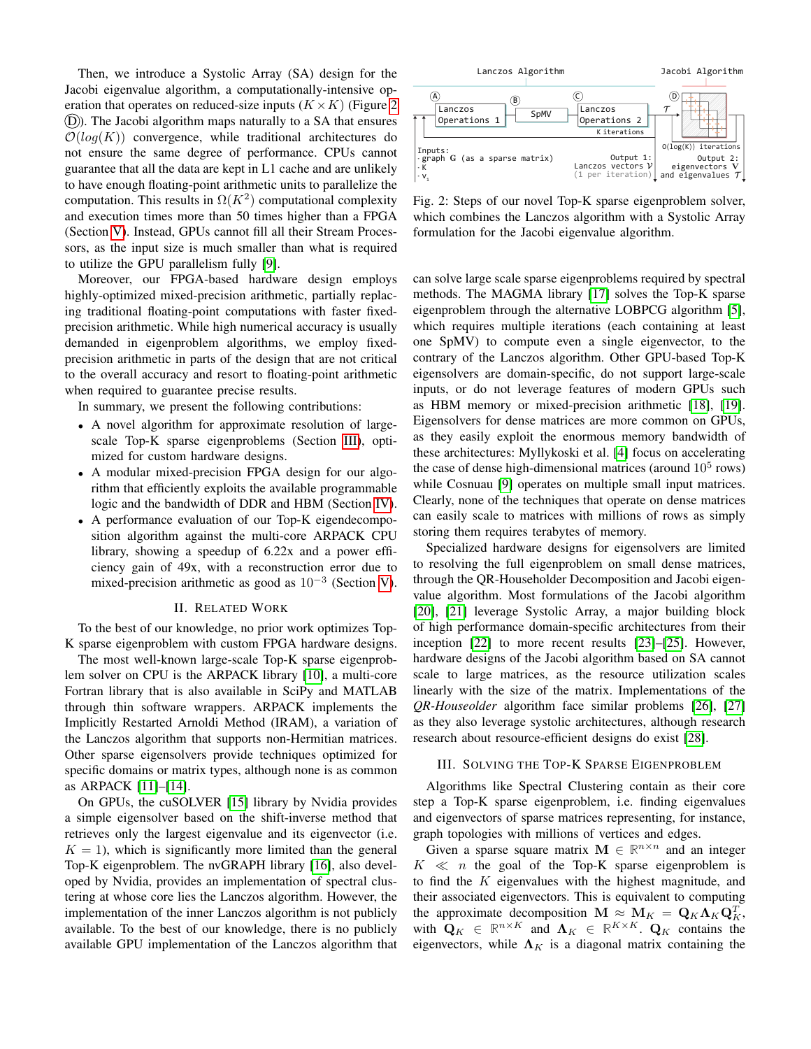Then, we introduce a Systolic Array (SA) design for the Jacobi eigenvalue algorithm, a computationally-intensive operation that operates on reduced-size inputs  $(K \times K)$  (Figure [2](#page-1-0)) (D)). The Jacobi algorithm maps naturally to a SA that ensures  $\mathcal{O}(log(K))$  convergence, while traditional architectures do not ensure the same degree of performance. CPUs cannot guarantee that all the data are kept in L1 cache and are unlikely to have enough floating-point arithmetic units to parallelize the computation. This results in  $\Omega(K^2)$  computational complexity and execution times more than 50 times higher than a FPGA (Section [V\)](#page-6-0). Instead, GPUs cannot fill all their Stream Processors, as the input size is much smaller than what is required to utilize the GPU parallelism fully [\[9\]](#page-8-8). Forcestion and particle to the controlling of the Lanczos CPUs can be the Lanczos algorithm that spaces are the Lanczos algorithm that spaces are the Lanczos algorithm that is a space of the Lanczos algorithm that is a sp

Moreover, our FPGA-based hardware design employs highly-optimized mixed-precision arithmetic, partially replacing traditional floating-point computations with faster fixedprecision arithmetic. While high numerical accuracy is usually demanded in eigenproblem algorithms, we employ fixedprecision arithmetic in parts of the design that are not critical to the overall accuracy and resort to floating-point arithmetic when required to guarantee precise results.

In summary, we present the following contributions:

- A novel algorithm for approximate resolution of largescale Top-K sparse eigenproblems (Section [III\)](#page-1-1), optimized for custom hardware designs.
- A modular mixed-precision FPGA design for our algorithm that efficiently exploits the available programmable logic and the bandwidth of DDR and HBM (Section [IV\)](#page-3-0).
- A performance evaluation of our Top-K eigendecomposition algorithm against the multi-core ARPACK CPU library, showing a speedup of 6.22x and a power efficiency gain of 49x, with a reconstruction error due to mixed-precision arithmetic as good as  $10^{-3}$  (Section [V\)](#page-6-0).

#### II. RELATED WORK

To the best of our knowledge, no prior work optimizes Top-K sparse eigenproblem with custom FPGA hardware designs.

The most well-known large-scale Top-K sparse eigenproblem solver on CPU is the ARPACK library [\[10\]](#page-8-9), a multi-core Fortran library that is also available in SciPy and MATLAB through thin software wrappers. ARPACK implements the Implicitly Restarted Arnoldi Method (IRAM), a variation of the Lanczos algorithm that supports non-Hermitian matrices. Other sparse eigensolvers provide techniques optimized for specific domains or matrix types, although none is as common as ARPACK [\[11\]](#page-8-10)–[\[14\]](#page-8-11).

On GPUs, the cuSOLVER [\[15\]](#page-8-12) library by Nvidia provides a simple eigensolver based on the shift-inverse method that retrieves only the largest eigenvalue and its eigenvector (i.e.  $K = 1$ , which is significantly more limited than the general Top-K eigenproblem. The nvGRAPH library [\[16\]](#page-8-13), also developed by Nvidia, provides an implementation of spectral clustering at whose core lies the Lanczos algorithm. However, the implementation of the inner Lanczos algorithm is not publicly available. To the best of our knowledge, there is no publicly

<span id="page-1-0"></span>

Fig. 2: Steps of our novel Top-K sparse eigenproblem solver, which combines the Lanczos algorithm with a Systolic Array formulation for the Jacobi eigenvalue algorithm.

can solve large scale sparse eigenproblems required by spectral methods. The MAGMA library [\[17\]](#page-8-14) solves the Top-K sparse eigenproblem through the alternative LOBPCG algorithm [\[5\]](#page-8-4), which requires multiple iterations (each containing at least one SpMV) to compute even a single eigenvector, to the contrary of the Lanczos algorithm. Other GPU-based Top-K eigensolvers are domain-specific, do not support large-scale inputs, or do not leverage features of modern GPUs such as HBM memory or mixed-precision arithmetic [\[18\]](#page-8-15), [\[19\]](#page-8-16). Eigensolvers for dense matrices are more common on GPUs, as they easily exploit the enormous memory bandwidth of these architectures: Myllykoski et al. [\[4\]](#page-8-3) focus on accelerating the case of dense high-dimensional matrices (around  $10^5$  rows) while Cosnuau [\[9\]](#page-8-8) operates on multiple small input matrices. Clearly, none of the techniques that operate on dense matrices can easily scale to matrices with millions of rows as simply storing them requires terabytes of memory.

Specialized hardware designs for eigensolvers are limited to resolving the full eigenproblem on small dense matrices, through the QR-Householder Decomposition and Jacobi eigenvalue algorithm. Most formulations of the Jacobi algorithm [\[20\]](#page-8-17), [\[21\]](#page-8-18) leverage Systolic Array, a major building block of high performance domain-specific architectures from their inception [\[22\]](#page-8-19) to more recent results [\[23\]](#page-8-20)–[\[25\]](#page-8-21). However, hardware designs of the Jacobi algorithm based on SA cannot scale to large matrices, as the resource utilization scales linearly with the size of the matrix. Implementations of the *QR-Houseolder* algorithm face similar problems [\[26\]](#page-8-22), [\[27\]](#page-8-23) as they also leverage systolic architectures, although research research about resource-efficient designs do exist [\[28\]](#page-8-24).

### <span id="page-1-1"></span>III. SOLVING THE TOP-K SPARSE EIGENPROBLEM

Algorithms like Spectral Clustering contain as their core step a Top-K sparse eigenproblem, i.e. finding eigenvalues and eigenvectors of sparse matrices representing, for instance, graph topologies with millions of vertices and edges.

Given a sparse square matrix  $M \in \mathbb{R}^{n \times n}$  and an integer  $K \ll n$  the goal of the Top-K sparse eigenproblem is to find the  $K$  eigenvalues with the highest magnitude, and their associated eigenvectors. This is equivalent to computing the approximate decomposition  $\mathbf{M} \approx \mathbf{M}_K = \mathbf{Q}_K \mathbf{\Lambda}_K \mathbf{Q}_K^T$ , with  $\mathbf{Q}_K \in \mathbb{R}^{n \times K}$  and  $\mathbf{\Lambda}_K \in \mathbb{R}^{K \times K}$ .  $\mathbf{Q}_K$  contains the eigenvectors, while  $\Lambda_K$  is a diagonal matrix containing the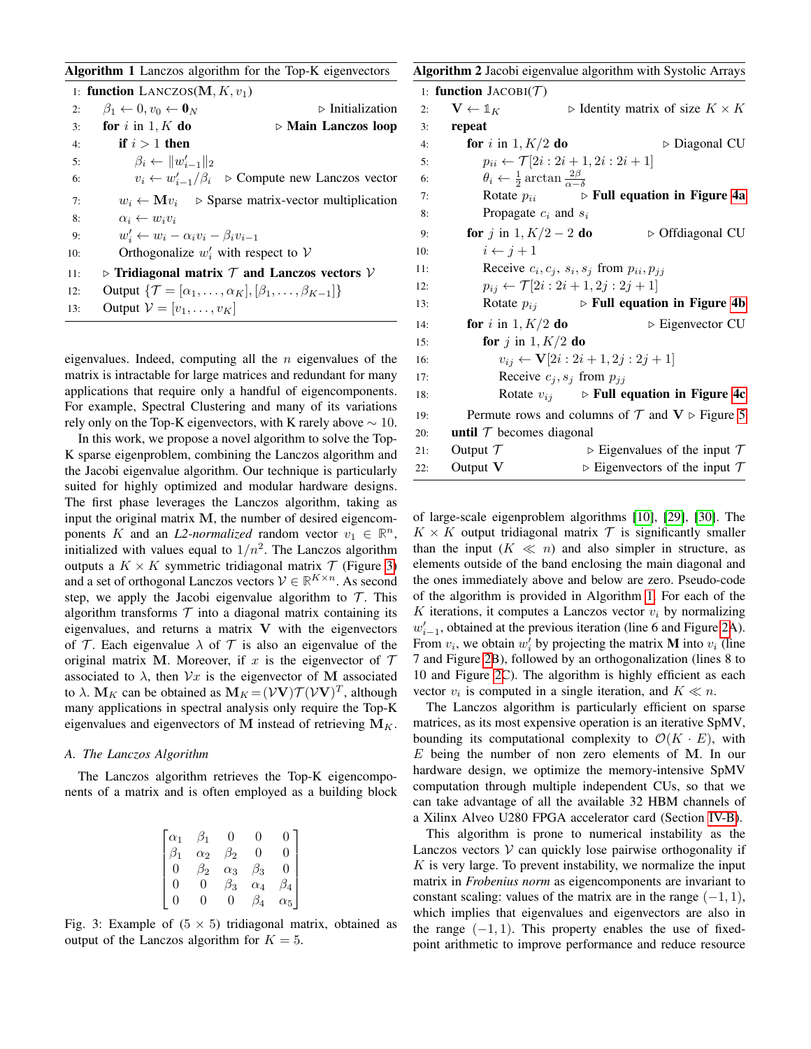<span id="page-2-1"></span>

|  |  |  | Algorithm 1 Lanczos algorithm for the Top-K eigenvectors |
|--|--|--|----------------------------------------------------------|
|  |  |  |                                                          |

|     | 1: <b>function</b> LANCZOS( $M, K, v_1$ )              |                                                                                         |
|-----|--------------------------------------------------------|-----------------------------------------------------------------------------------------|
| 2:  | $\beta_1 \leftarrow 0, v_0 \leftarrow \mathbf{0}_N$    | $\triangleright$ Initialization                                                         |
| 3:  | for $i$ in $1, K$ do                                   | $\triangleright$ Main Lanczos loop                                                      |
| 4:  | if $i > 1$ then                                        |                                                                                         |
| 5:  | $\beta_i \leftarrow   w'_{i-1}  _2$                    |                                                                                         |
| 6:  |                                                        | $v_i \leftarrow w'_{i-1}/\beta_i$ $\triangleright$ Compute new Lanczos vector           |
| 7:  |                                                        | $w_i \leftarrow \mathbf{M} v_i$ $\triangleright$ Sparse matrix-vector multiplication    |
| 8:  | $\alpha_i \leftarrow w_i v_i$                          |                                                                                         |
| 9:  | $w'_i \leftarrow w_i - \alpha_i v_i - \beta_i v_{i-1}$ |                                                                                         |
| 10: | Orthogonalize $w'_i$ with respect to V                 |                                                                                         |
| 11: |                                                        | $\triangleright$ Tridiagonal matrix $\tau$ and Lanczos vectors $\mathcal V$             |
| 12: |                                                        | Output $\{\mathcal{T} = [\alpha_1, \ldots, \alpha_K], [\beta_1, \ldots, \beta_{K-1}]\}$ |
| 13: | Output $\mathcal{V} = [v_1, \ldots, v_K]$              |                                                                                         |

eigenvalues. Indeed, computing all the  $n$  eigenvalues of the matrix is intractable for large matrices and redundant for many applications that require only a handful of eigencomponents. For example, Spectral Clustering and many of its variations rely only on the Top-K eigenvectors, with K rarely above  $\sim 10$ .

In this work, we propose a novel algorithm to solve the Top-K sparse eigenproblem, combining the Lanczos algorithm and the Jacobi eigenvalue algorithm. Our technique is particularly suited for highly optimized and modular hardware designs. The first phase leverages the Lanczos algorithm, taking as input the original matrix M, the number of desired eigencomponents K and an *L2-normalized* random vector  $v_1 \in \mathbb{R}^n$ , initialized with values equal to  $1/n^2$ . The Lanczos algorithm outputs a  $K \times K$  symmetric tridiagonal matrix  $\mathcal T$  (Figure [3\)](#page-2-0) and a set of orthogonal Lanczos vectors  $V \in \mathbb{R}^{K \times n}$ . As second step, we apply the Jacobi eigenvalue algorithm to  $\mathcal T$ . This algorithm transforms  $T$  into a diagonal matrix containing its eigenvalues, and returns a matrix  $V$  with the eigenvectors of T. Each eigenvalue  $\lambda$  of T is also an eigenvalue of the original matrix M. Moreover, if x is the eigenvector of  $\mathcal T$ associated to  $\lambda$ , then  $\mathcal{V}x$  is the eigenvector of M associated to  $\lambda$ .  $\mathbf{M}_K$  can be obtained as  $\mathbf{M}_K = (\mathcal{V}\mathbf{V})\mathcal{T}(\mathcal{V}\mathbf{V})^T$ , although many applications in spectral analysis only require the Top-K eigenvalues and eigenvectors of M instead of retrieving  $M_K$ .

#### *A. The Lanczos Algorithm*

<span id="page-2-0"></span>The Lanczos algorithm retrieves the Top-K eigencomponents of a matrix and is often employed as a building block

| $\alpha_1$       | $\beta_1$  | 0          | $\left( \right)$ | 0              |
|------------------|------------|------------|------------------|----------------|
| $\beta_1$        | $\alpha_2$ | $\beta_2$  | 0                | $\overline{0}$ |
| $\boldsymbol{0}$ | $\beta_2$  | $\alpha_3$ | $\beta_3$        | 0              |
| 0                | 0          | $\beta_3$  | $\alpha_4$       | $\beta_4$      |
| 0                | 0          | 0          |                  | $\alpha_5$     |

Fig. 3: Example of  $(5 \times 5)$  tridiagonal matrix, obtained as output of the Lanczos algorithm for  $K = 5$ .

<span id="page-2-2"></span>

|     | Algorithm 2 Jacobi eigenvalue algorithm with Systolic Arrays             |                                                 |                                                                 |
|-----|--------------------------------------------------------------------------|-------------------------------------------------|-----------------------------------------------------------------|
|     | 1: function $JACOBI(\mathcal{T})$                                        |                                                 |                                                                 |
| 2:  | $\mathbf{V} \leftarrow \mathbb{1}_K$                                     |                                                 | $\triangleright$ Identity matrix of size $K \times K$           |
| 3:  | repeat                                                                   |                                                 |                                                                 |
| 4:  | for i in $1, K/2$ do                                                     |                                                 | $\triangleright$ Diagonal CU                                    |
| 5:  | $p_{ii} \leftarrow \mathcal{T}[2i:2i+1,2i:2i+1]$                         |                                                 |                                                                 |
| 6:  | $\theta_i \leftarrow \frac{1}{2} \arctan \frac{2\beta}{\alpha - \delta}$ |                                                 |                                                                 |
| 7:  | Rotate $p_{ii}$                                                          |                                                 | $\triangleright$ Full equation in Figure 4a                     |
| 8:  | Propagate $c_i$ and $s_i$                                                |                                                 |                                                                 |
| 9:  | <b>for</b> j in $1, K/2 - 2$ <b>do</b>                                   |                                                 | $\triangleright$ Offdiagonal CU                                 |
| 10: | $i \leftarrow j+1$                                                       |                                                 |                                                                 |
| 11: | Receive $c_i, c_j, s_i, s_j$ from $p_{ii}, p_{jj}$                       |                                                 |                                                                 |
| 12: | $p_{ij} \leftarrow \mathcal{T}[2i:2i+1,2j:2j+1]$                         |                                                 |                                                                 |
| 13: | Rotate $p_{ij}$                                                          |                                                 | $\triangleright$ Full equation in Figure 4b                     |
| 14: | for i in $1, K/2$ do                                                     |                                                 | $\triangleright$ Eigenvector CU                                 |
| 15: | for j in $1, K/2$ do                                                     |                                                 |                                                                 |
| 16: |                                                                          | $v_{ij} \leftarrow \mathbf{V}[2i:2i+1,2j:2j+1]$ |                                                                 |
| 17: | Receive $c_j, s_j$ from $p_{jj}$                                         |                                                 |                                                                 |
| 18: |                                                                          |                                                 | Rotate $v_{ij} \rightarrow$ Full equation in Figure 4c          |
| 19: |                                                                          |                                                 | Permute rows and columns of $T$ and $V \triangleright$ Figure 5 |
| 20: | until $\tau$ becomes diagonal                                            |                                                 |                                                                 |
| 21: | Output $\mathcal T$                                                      |                                                 | $\triangleright$ Eigenvalues of the input $\tau$                |
| 22: | Output V                                                                 |                                                 | $\triangleright$ Eigenvectors of the input $\tau$               |

of large-scale eigenproblem algorithms [\[10\]](#page-8-9), [\[29\]](#page-8-25), [\[30\]](#page-8-26). The  $K \times K$  output tridiagonal matrix  $\mathcal T$  is significantly smaller than the input  $(K \ll n)$  and also simpler in structure, as elements outside of the band enclosing the main diagonal and the ones immediately above and below are zero. Pseudo-code of the algorithm is provided in Algorithm [1.](#page-2-1) For each of the K iterations, it computes a Lanczos vector  $v_i$  by normalizing  $w'_{i-1}$ , obtained at the previous iteration (line 6 and Figure [2A](#page-1-0)). From  $v_i$ , we obtain  $w'_i$  by projecting the matrix **M** into  $v_i$  (line 7 and Figure [2B](#page-1-0)), followed by an orthogonalization (lines 8 to 10 and Figure [2C](#page-1-0)). The algorithm is highly efficient as each vector  $v_i$  is computed in a single iteration, and  $K \ll n$ .

The Lanczos algorithm is particularly efficient on sparse matrices, as its most expensive operation is an iterative SpMV, bounding its computational complexity to  $\mathcal{O}(K \cdot E)$ , with  $E$  being the number of non zero elements of M. In our hardware design, we optimize the memory-intensive SpMV computation through multiple independent CUs, so that we can take advantage of all the available 32 HBM channels of a Xilinx Alveo U280 FPGA accelerator card (Section [IV-B\)](#page-4-0).

This algorithm is prone to numerical instability as the Lanczos vectors  $V$  can quickly lose pairwise orthogonality if  $K$  is very large. To prevent instability, we normalize the input matrix in *Frobenius norm* as eigencomponents are invariant to constant scaling: values of the matrix are in the range  $(-1, 1)$ , which implies that eigenvalues and eigenvectors are also in the range  $(-1, 1)$ . This property enables the use of fixedpoint arithmetic to improve performance and reduce resource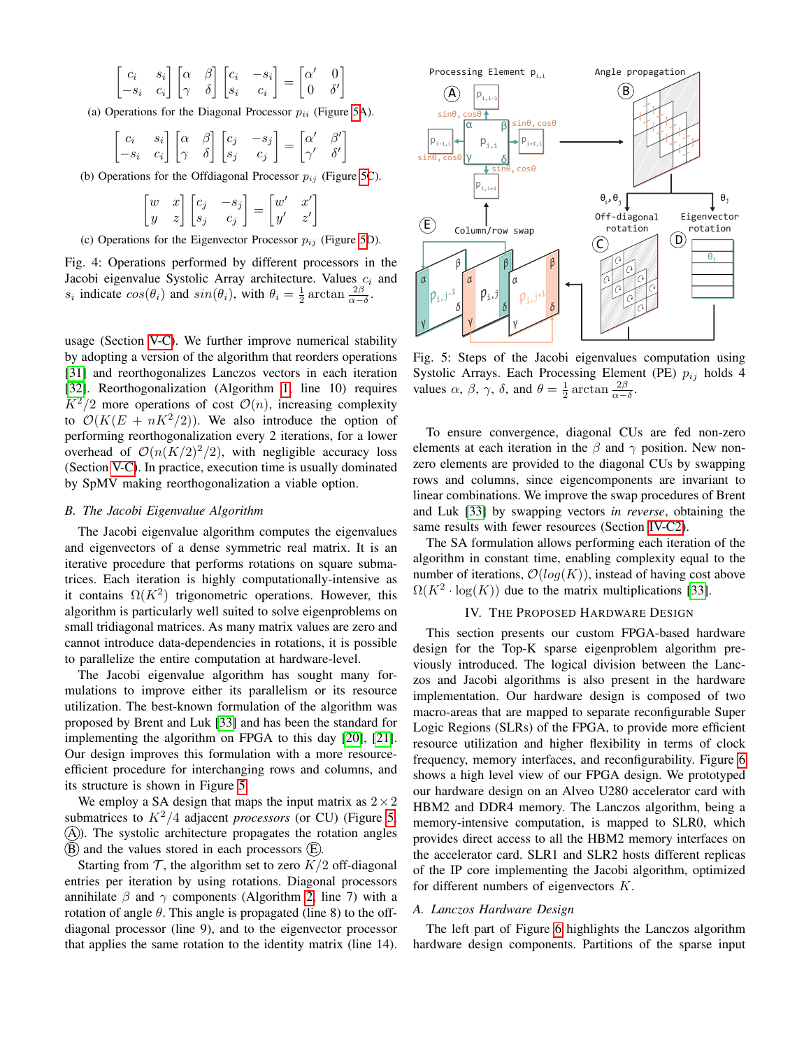<span id="page-3-1"></span>
$$
\begin{bmatrix} c_i & s_i \\ -s_i & c_i \end{bmatrix} \begin{bmatrix} \alpha & \beta \\ \gamma & \delta \end{bmatrix} \begin{bmatrix} c_i & -s_i \\ s_i & c_i \end{bmatrix} = \begin{bmatrix} \alpha' & 0 \\ 0 & \delta' \end{bmatrix}
$$

(a) Operations for the Diagonal Processor  $p_{ii}$  (Figure [5A](#page-3-2)).

$$
\begin{bmatrix} c_i & s_i \\ -s_i & c_i \end{bmatrix} \begin{bmatrix} \alpha & \beta \\ \gamma & \delta \end{bmatrix} \begin{bmatrix} c_j & -s_j \\ s_j & c_j \end{bmatrix} = \begin{bmatrix} \alpha' & \beta' \\ \gamma' & \delta' \end{bmatrix}
$$

(b) Operations for the Offdiagonal Processor  $p_{ij}$  (Figure [5C](#page-3-2)).

$$
\begin{bmatrix} w & x \\ y & z \end{bmatrix} \begin{bmatrix} c_j & -s_j \\ s_j & c_j \end{bmatrix} = \begin{bmatrix} w' & x' \\ y' & z' \end{bmatrix}
$$

(c) Operations for the Eigenvector Processor  $p_{ij}$  (Figure [5D](#page-3-2)).

Fig. 4: Operations performed by different processors in the Jacobi eigenvalue Systolic Array architecture. Values  $c_i$  and  $s_i$  indicate  $cos(\theta_i)$  and  $sin(\theta_i)$ , with  $\theta_i = \frac{1}{2} \arctan \frac{2\beta}{\alpha - \delta}$ .

usage (Section [V-C\)](#page-6-1). We further improve numerical stability by adopting a version of the algorithm that reorders operations [\[31\]](#page-8-27) and reorthogonalizes Lanczos vectors in each iteration [\[32\]](#page-8-28). Reorthogonalization (Algorithm [1,](#page-2-1) line 10) requires  $K^2/2$  more operations of cost  $\mathcal{O}(n)$ , increasing complexity to  $\mathcal{O}(K(E + nK^2/2))$ . We also introduce the option of performing reorthogonalization every 2 iterations, for a lower overhead of  $O(n(K/2)^2/2)$ , with negligible accuracy loss (Section [V-C\)](#page-6-1). In practice, execution time is usually dominated by SpMV making reorthogonalization a viable option.

# *B. The Jacobi Eigenvalue Algorithm*

The Jacobi eigenvalue algorithm computes the eigenvalues and eigenvectors of a dense symmetric real matrix. It is an iterative procedure that performs rotations on square submatrices. Each iteration is highly computationally-intensive as it contains  $\Omega(K^2)$  trigonometric operations. However, this algorithm is particularly well suited to solve eigenproblems on small tridiagonal matrices. As many matrix values are zero and cannot introduce data-dependencies in rotations, it is possible to parallelize the entire computation at hardware-level.

The Jacobi eigenvalue algorithm has sought many formulations to improve either its parallelism or its resource utilization. The best-known formulation of the algorithm was proposed by Brent and Luk [\[33\]](#page-8-29) and has been the standard for implementing the algorithm on FPGA to this day [\[20\]](#page-8-17), [\[21\]](#page-8-18). Our design improves this formulation with a more resourceefficient procedure for interchanging rows and columns, and its structure is shown in Figure [5.](#page-3-2)

We employ a SA design that maps the input matrix as  $2 \times 2$ submatrices to  $K^2/4$  adjacent *processors* (or CU) (Figure [5,](#page-3-2)  $(A)$ ). The systolic architecture propagates the rotation angles  $(B)$  and the values stored in each processors  $(E)$ .

Starting from  $\mathcal T$ , the algorithm set to zero  $K/2$  off-diagonal entries per iteration by using rotations. Diagonal processors annihilate  $\beta$  and  $\gamma$  components (Algorithm [2,](#page-2-2) line 7) with a rotation of angle  $\theta$ . This angle is propagated (line 8) to the offdiagonal processor (line 9), and to the eigenvector processor that applies the same rotation to the identity matrix (line 14).

<span id="page-3-2"></span>

Fig. 5: Steps of the Jacobi eigenvalues computation using Systolic Arrays. Each Processing Element (PE)  $p_{ij}$  holds 4 values  $\alpha$ ,  $\beta$ ,  $\gamma$ ,  $\delta$ , and  $\theta = \frac{1}{2} \arctan \frac{2\beta}{\alpha - \delta}$ .

To ensure convergence, diagonal CUs are fed non-zero elements at each iteration in the  $\beta$  and  $\gamma$  position. New nonzero elements are provided to the diagonal CUs by swapping rows and columns, since eigencomponents are invariant to linear combinations. We improve the swap procedures of Brent and Luk [\[33\]](#page-8-29) by swapping vectors *in reverse*, obtaining the same results with fewer resources (Section [IV-C2\)](#page-5-0).

The SA formulation allows performing each iteration of the algorithm in constant time, enabling complexity equal to the number of iterations,  $\mathcal{O}(log(K))$ , instead of having cost above  $\Omega(K^2 \cdot \log(K))$  due to the matrix multiplications [\[33\]](#page-8-29).

## IV. THE PROPOSED HARDWARE DESIGN

<span id="page-3-0"></span>This section presents our custom FPGA-based hardware design for the Top-K sparse eigenproblem algorithm previously introduced. The logical division between the Lanczos and Jacobi algorithms is also present in the hardware implementation. Our hardware design is composed of two macro-areas that are mapped to separate reconfigurable Super Logic Regions (SLRs) of the FPGA, to provide more efficient resource utilization and higher flexibility in terms of clock frequency, memory interfaces, and reconfigurability. Figure [6](#page-4-1) shows a high level view of our FPGA design. We prototyped our hardware design on an Alveo U280 accelerator card with HBM2 and DDR4 memory. The Lanczos algorithm, being a memory-intensive computation, is mapped to SLR0, which provides direct access to all the HBM2 memory interfaces on the accelerator card. SLR1 and SLR2 hosts different replicas of the IP core implementing the Jacobi algorithm, optimized for different numbers of eigenvectors  $K$ .

# *A. Lanczos Hardware Design*

The left part of Figure [6](#page-4-1) highlights the Lanczos algorithm hardware design components. Partitions of the sparse input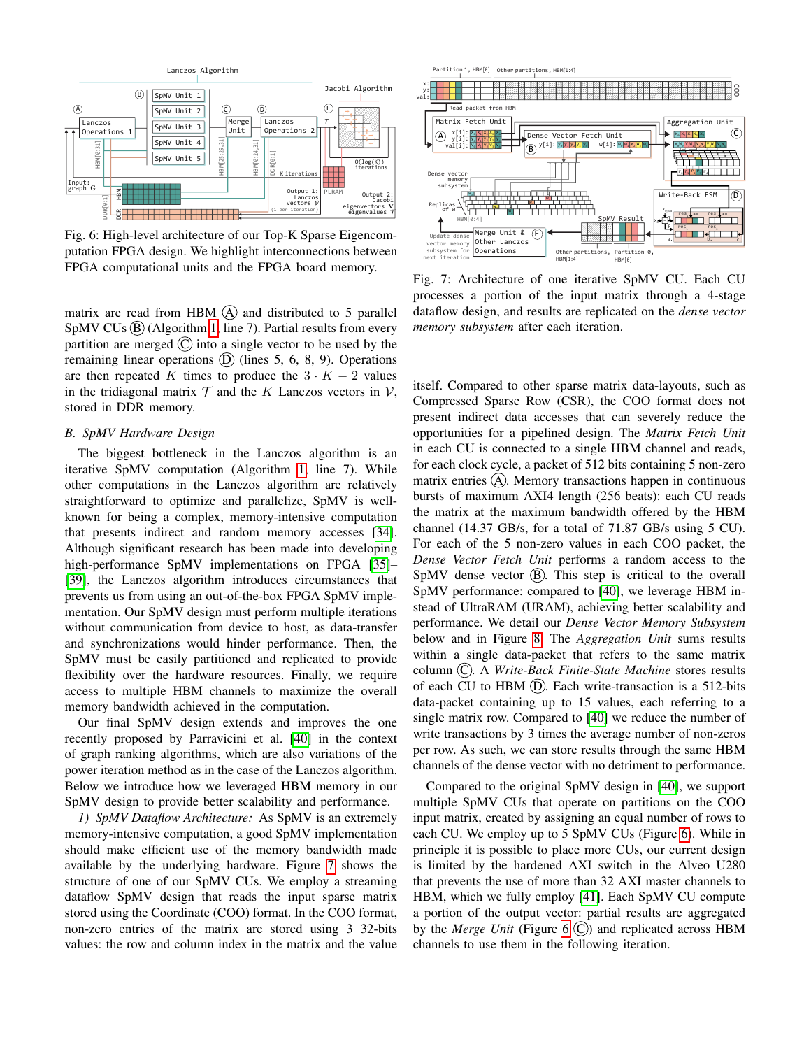<span id="page-4-1"></span>

Fig. 6: High-level architecture of our Top-K Sparse Eigencomputation FPGA design. We highlight interconnections between FPGA computational units and the FPGA board memory.

matrix are read from HBM  $(A)$  and distributed to 5 parallel  $SpMV$  CUs  $(B)$  (Algorithm [1,](#page-2-1) line 7). Partial results from every partition are merged  $(C)$  into a single vector to be used by the remaining linear operations  $(D)$  (lines 5, 6, 8, 9). Operations are then repeated K times to produce the  $3 \cdot K - 2$  values in the tridiagonal matrix  $T$  and the K Lanczos vectors in  $V$ , stored in DDR memory.

### <span id="page-4-0"></span>*B. SpMV Hardware Design*

The biggest bottleneck in the Lanczos algorithm is an iterative SpMV computation (Algorithm [1,](#page-2-1) line 7). While other computations in the Lanczos algorithm are relatively straightforward to optimize and parallelize, SpMV is wellknown for being a complex, memory-intensive computation that presents indirect and random memory accesses [\[34\]](#page-8-30). Although significant research has been made into developing high-performance SpMV implementations on FPGA [\[35\]](#page-8-31)-[\[39\]](#page-8-32), the Lanczos algorithm introduces circumstances that prevents us from using an out-of-the-box FPGA SpMV implementation. Our SpMV design must perform multiple iterations without communication from device to host, as data-transfer and synchronizations would hinder performance. Then, the SpMV must be easily partitioned and replicated to provide flexibility over the hardware resources. Finally, we require access to multiple HBM channels to maximize the overall memory bandwidth achieved in the computation.

Our final SpMV design extends and improves the one recently proposed by Parravicini et al. [\[40\]](#page-8-33) in the context of graph ranking algorithms, which are also variations of the power iteration method as in the case of the Lanczos algorithm. Below we introduce how we leveraged HBM memory in our SpMV design to provide better scalability and performance.

*1) SpMV Dataflow Architecture:* As SpMV is an extremely memory-intensive computation, a good SpMV implementation should make efficient use of the memory bandwidth made available by the underlying hardware. Figure [7](#page-4-2) shows the structure of one of our SpMV CUs. We employ a streaming dataflow SpMV design that reads the input sparse matrix stored using the Coordinate (COO) format. In the COO format, non-zero entries of the matrix are stored using 3 32-bits values: the row and column index in the matrix and the value

<span id="page-4-2"></span>

Fig. 7: Architecture of one iterative SpMV CU. Each CU processes a portion of the input matrix through a 4-stage dataflow design, and results are replicated on the *dense vector memory subsystem* after each iteration.

itself. Compared to other sparse matrix data-layouts, such as Compressed Sparse Row (CSR), the COO format does not present indirect data accesses that can severely reduce the opportunities for a pipelined design. The *Matrix Fetch Unit* in each CU is connected to a single HBM channel and reads, for each clock cycle, a packet of 512 bits containing 5 non-zero matrix entries  $(A)$ . Memory transactions happen in continuous bursts of maximum AXI4 length (256 beats): each CU reads the matrix at the maximum bandwidth offered by the HBM channel (14.37 GB/s, for a total of 71.87 GB/s using 5 CU). For each of the 5 non-zero values in each COO packet, the *Dense Vector Fetch Unit* performs a random access to the  $SpMV$  dense vector  $(B)$ . This step is critical to the overall SpMV performance: compared to [\[40\]](#page-8-33), we leverage HBM instead of UltraRAM (URAM), achieving better scalability and performance. We detail our *Dense Vector Memory Subsystem* below and in Figure [8.](#page-5-1) The *Aggregation Unit* sums results within a single data-packet that refers to the same matrix column (C). A *Write-Back Finite-State Machine* stores results of each CU to HBM  $(D)$ . Each write-transaction is a 512-bits data-packet containing up to 15 values, each referring to a single matrix row. Compared to [\[40\]](#page-8-33) we reduce the number of write transactions by 3 times the average number of non-zeros per row. As such, we can store results through the same HBM channels of the dense vector with no detriment to performance.

Compared to the original SpMV design in [\[40\]](#page-8-33), we support multiple SpMV CUs that operate on partitions on the COO input matrix, created by assigning an equal number of rows to each CU. We employ up to 5 SpMV CUs (Figure [6\)](#page-4-1). While in principle it is possible to place more CUs, our current design is limited by the hardened AXI switch in the Alveo U280 that prevents the use of more than 32 AXI master channels to HBM, which we fully employ [\[41\]](#page-8-34). Each SpMV CU compute a portion of the output vector: partial results are aggregated by the *Merge Unit* (Figure [6](#page-4-1)  $\overline{C}$ ) and replicated across HBM channels to use them in the following iteration.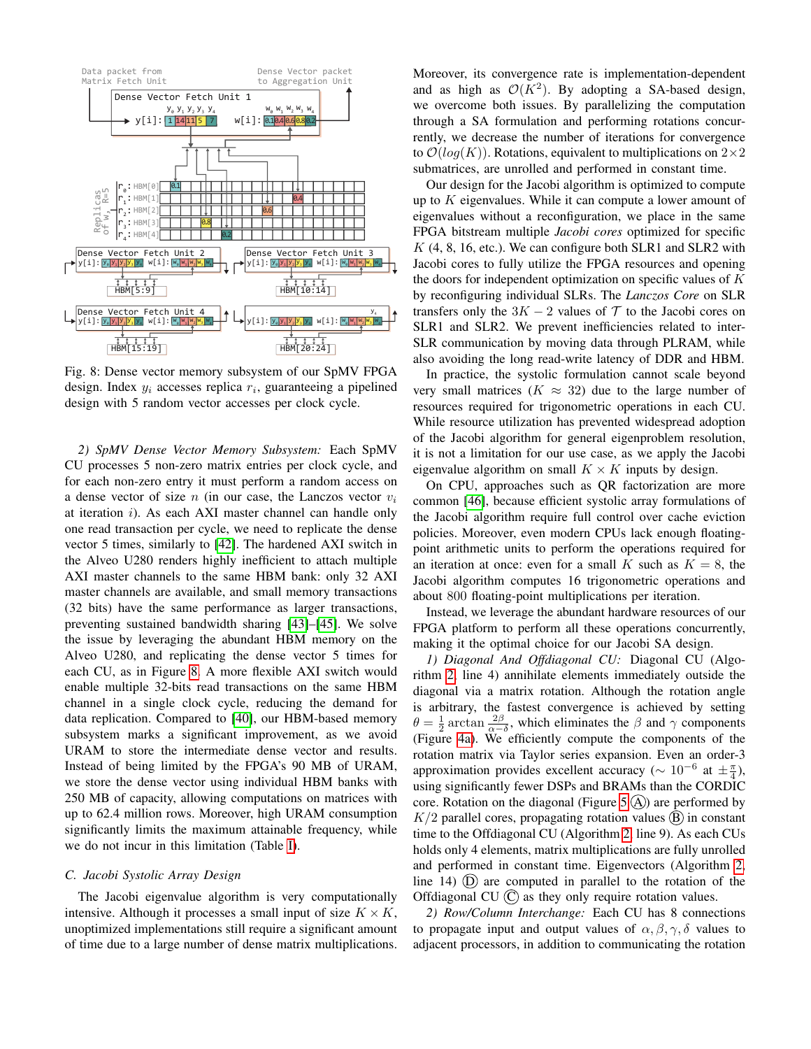<span id="page-5-1"></span>

Fig. 8: Dense vector memory subsystem of our SpMV FPGA design. Index  $y_i$  accesses replica  $r_i$ , guaranteeing a pipelined design with 5 random vector accesses per clock cycle.

*2) SpMV Dense Vector Memory Subsystem:* Each SpMV CU processes 5 non-zero matrix entries per clock cycle, and for each non-zero entry it must perform a random access on a dense vector of size  $n$  (in our case, the Lanczos vector  $v_i$ ) at iteration i). As each AXI master channel can handle only one read transaction per cycle, we need to replicate the dense vector 5 times, similarly to [\[42\]](#page-8-35). The hardened AXI switch in the Alveo U280 renders highly inefficient to attach multiple AXI master channels to the same HBM bank: only 32 AXI master channels are available, and small memory transactions (32 bits) have the same performance as larger transactions, preventing sustained bandwidth sharing [\[43\]](#page-8-36)–[\[45\]](#page-9-0). We solve the issue by leveraging the abundant HBM memory on the Alveo U280, and replicating the dense vector 5 times for each CU, as in Figure [8.](#page-5-1) A more flexible AXI switch would enable multiple 32-bits read transactions on the same HBM channel in a single clock cycle, reducing the demand for data replication. Compared to [\[40\]](#page-8-33), our HBM-based memory subsystem marks a significant improvement, as we avoid URAM to store the intermediate dense vector and results. Instead of being limited by the FPGA's 90 MB of URAM, we store the dense vector using individual HBM banks with 250 MB of capacity, allowing computations on matrices with up to 62.4 million rows. Moreover, high URAM consumption significantly limits the maximum attainable frequency, while we do not incur in this limitation (Table [I\)](#page-6-2).

## *C. Jacobi Systolic Array Design*

The Jacobi eigenvalue algorithm is very computationally intensive. Although it processes a small input of size  $K \times K$ , unoptimized implementations still require a significant amount of time due to a large number of dense matrix multiplications. Moreover, its convergence rate is implementation-dependent and as high as  $\mathcal{O}(K^2)$ . By adopting a SA-based design, we overcome both issues. By parallelizing the computation through a SA formulation and performing rotations concurrently, we decrease the number of iterations for convergence to  $\mathcal{O}(log(K))$ . Rotations, equivalent to multiplications on  $2\times 2$ submatrices, are unrolled and performed in constant time.

Our design for the Jacobi algorithm is optimized to compute up to  $K$  eigenvalues. While it can compute a lower amount of eigenvalues without a reconfiguration, we place in the same FPGA bitstream multiple *Jacobi cores* optimized for specific  $K$  (4, 8, 16, etc.). We can configure both SLR1 and SLR2 with Jacobi cores to fully utilize the FPGA resources and opening the doors for independent optimization on specific values of  $K$ by reconfiguring individual SLRs. The *Lanczos Core* on SLR transfers only the  $3K - 2$  values of  $\mathcal T$  to the Jacobi cores on SLR1 and SLR2. We prevent inefficiencies related to inter-SLR communication by moving data through PLRAM, while also avoiding the long read-write latency of DDR and HBM.

In practice, the systolic formulation cannot scale beyond very small matrices ( $K \approx 32$ ) due to the large number of resources required for trigonometric operations in each CU. While resource utilization has prevented widespread adoption of the Jacobi algorithm for general eigenproblem resolution, it is not a limitation for our use case, as we apply the Jacobi eigenvalue algorithm on small  $K \times K$  inputs by design.

On CPU, approaches such as QR factorization are more common [\[46\]](#page-9-1), because efficient systolic array formulations of the Jacobi algorithm require full control over cache eviction policies. Moreover, even modern CPUs lack enough floatingpoint arithmetic units to perform the operations required for an iteration at once: even for a small K such as  $K = 8$ , the Jacobi algorithm computes 16 trigonometric operations and about 800 floating-point multiplications per iteration.

Instead, we leverage the abundant hardware resources of our FPGA platform to perform all these operations concurrently, making it the optimal choice for our Jacobi SA design.

*1) Diagonal And Offdiagonal CU:* Diagonal CU (Algorithm [2,](#page-2-2) line 4) annihilate elements immediately outside the diagonal via a matrix rotation. Although the rotation angle is arbitrary, the fastest convergence is achieved by setting  $\theta = \frac{1}{2} \arctan \frac{2\beta}{\alpha - \delta}$ , which eliminates the  $\beta$  and  $\gamma$  components (Figure [4a\)](#page-3-1). We efficiently compute the components of the rotation matrix via Taylor series expansion. Even an order-3 approximation provides excellent accuracy ( $\sim 10^{-6}$  at  $\pm \frac{\pi}{4}$ ), using significantly fewer DSPs and BRAMs than the CORDIC core. Rotation on the diagonal (Figure [5](#page-3-2)  $(A)$ ) are performed by  $K/2$  parallel cores, propagating rotation values  $(B)$  in constant time to the Offdiagonal CU (Algorithm [2,](#page-2-2) line 9). As each CUs holds only 4 elements, matrix multiplications are fully unrolled and performed in constant time. Eigenvectors (Algorithm [2,](#page-2-2) line 14)  $(D)$  are computed in parallel to the rotation of the Offdiagonal CU  $(C)$  as they only require rotation values.

<span id="page-5-0"></span>*2) Row/Column Interchange:* Each CU has 8 connections to propagate input and output values of  $\alpha$ ,  $\beta$ ,  $\gamma$ ,  $\delta$  values to adjacent processors, in addition to communicating the rotation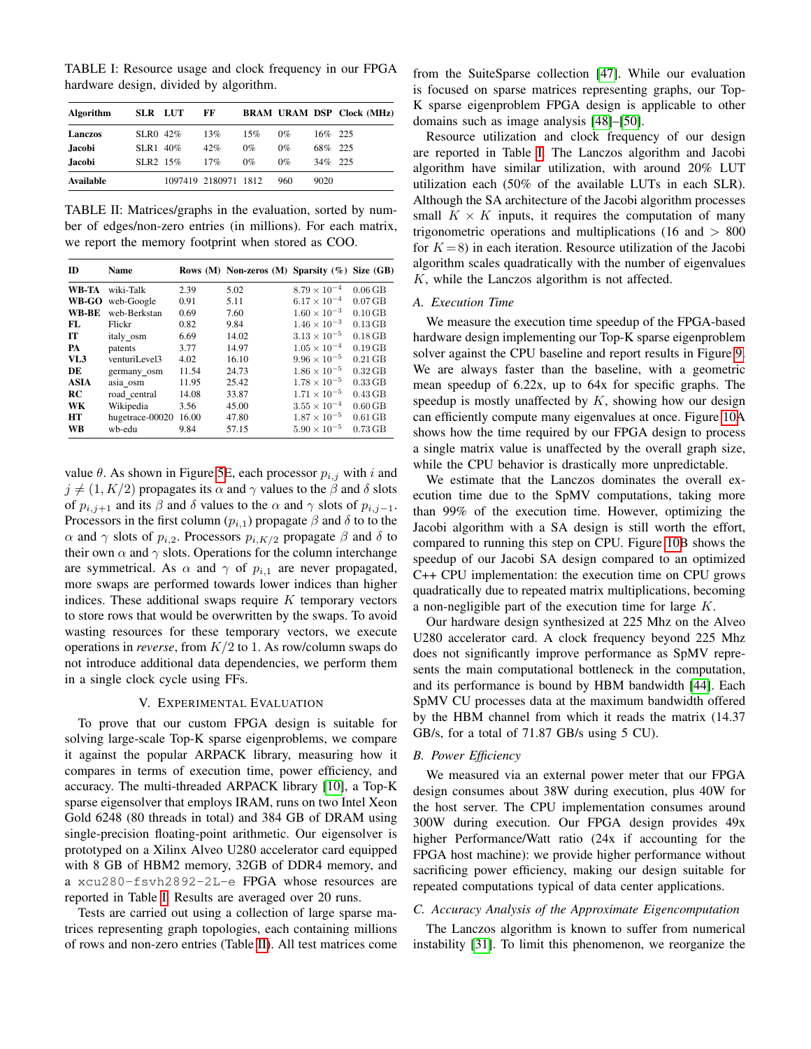<span id="page-6-2"></span>TABLE I: Resource usage and clock frequency in our FPGA hardware design, divided by algorithm.

| Algorithm     | SLR LUT                 | FF                   |       |       |            | <b>BRAM URAM DSP Clock (MHz)</b> |
|---------------|-------------------------|----------------------|-------|-------|------------|----------------------------------|
| Lanczos       | $SLR0$ 42\%             | 13%                  | 15%   | $0\%$ | $16\%$ 225 |                                  |
| <b>Jacobi</b> | $SLR1$ 40%              | 42%                  | $0\%$ | $0\%$ | 68% 225    |                                  |
| <b>Jacobi</b> | $SI$ R <sub>2</sub> 15% | 17%                  | $0\%$ | $0\%$ | $34\%$ 225 |                                  |
| Available     |                         | 1097419 2180971 1812 |       | 960   | 9020       |                                  |

<span id="page-6-3"></span>TABLE II: Matrices/graphs in the evaluation, sorted by number of edges/non-zero entries (in millions). For each matrix, we report the memory footprint when stored as COO.

| <b>ID</b>   | Name            |       | Rows (M) Non-zeros (M) Sparsity (%) Size $(GB)$ |                       |                     |
|-------------|-----------------|-------|-------------------------------------------------|-----------------------|---------------------|
| WB-TA       | wiki-Talk       | 2.39  | 5.02                                            | $8.79 \times 10^{-4}$ | $0.06$ GB           |
| WB-GO       | web-Google      | 0.91  | 5.11                                            | $6.17 \times 10^{-4}$ | $0.07$ GB           |
| WB-BE       | web-Berkstan    | 0.69  | 7.60                                            | $1.60 \times 10^{-3}$ | $0.10$ GB           |
| FL.         | Flickr          | 0.82  | 9.84                                            | $1.46 \times 10^{-3}$ | $0.13$ GB           |
| <b>IT</b>   | italy osm       | 6.69  | 14.02                                           | $3.13 \times 10^{-5}$ | $0.18$ GB           |
| PA          | patents         | 3.77  | 14.97                                           | $1.05 \times 10^{-4}$ | $0.19$ GB           |
| VL3         | venturiLevel3   | 4.02  | 16.10                                           | $9.96 \times 10^{-5}$ | $0.21$ GB           |
| DE          | germany_osm     | 11.54 | 24.73                                           | $1.86 \times 10^{-5}$ | $0.32$ GB           |
| <b>ASIA</b> | asia osm        | 11.95 | 25.42                                           | $1.78 \times 10^{-5}$ | $0.33\,\mathrm{GB}$ |
| RC          | road central    | 14.08 | 33.87                                           | $1.71 \times 10^{-5}$ | $0.43$ GB           |
| WK          | Wikipedia       | 3.56  | 45.00                                           | $3.55 \times 10^{-4}$ | $0.60$ GB           |
| HT          | hugetrace-00020 | 16.00 | 47.80                                           | $1.87 \times 10^{-5}$ | $0.61$ GB           |
| WB          | wb-edu          | 9.84  | 57.15                                           | $5.90 \times 10^{-5}$ | $0.73$ GB           |

value  $\theta$ . As shown in Figure [5E](#page-3-2), each processor  $p_{i,j}$  with i and  $j \neq (1, K/2)$  propagates its  $\alpha$  and  $\gamma$  values to the  $\beta$  and  $\delta$  slots of  $p_{i,j+1}$  and its  $\beta$  and  $\delta$  values to the  $\alpha$  and  $\gamma$  slots of  $p_{i,j-1}$ . Processors in the first column  $(p_{i,1})$  propagate  $\beta$  and  $\delta$  to to the  $\alpha$  and  $\gamma$  slots of  $p_{i,2}$ . Processors  $p_{i,K/2}$  propagate  $\beta$  and  $\delta$  to their own  $\alpha$  and  $\gamma$  slots. Operations for the column interchange are symmetrical. As  $\alpha$  and  $\gamma$  of  $p_{i,1}$  are never propagated, more swaps are performed towards lower indices than higher indices. These additional swaps require  $K$  temporary vectors to store rows that would be overwritten by the swaps. To avoid wasting resources for these temporary vectors, we execute operations in *reverse*, from K/2 to 1. As row/column swaps do not introduce additional data dependencies, we perform them in a single clock cycle using FFs.

## V. EXPERIMENTAL EVALUATION

<span id="page-6-0"></span>To prove that our custom FPGA design is suitable for solving large-scale Top-K sparse eigenproblems, we compare it against the popular ARPACK library, measuring how it compares in terms of execution time, power efficiency, and accuracy. The multi-threaded ARPACK library [\[10\]](#page-8-9), a Top-K sparse eigensolver that employs IRAM, runs on two Intel Xeon Gold 6248 (80 threads in total) and 384 GB of DRAM using single-precision floating-point arithmetic. Our eigensolver is prototyped on a Xilinx Alveo U280 accelerator card equipped with 8 GB of HBM2 memory, 32GB of DDR4 memory, and a xcu280-fsvh2892-2L-e FPGA whose resources are reported in Table [I.](#page-6-2) Results are averaged over 20 runs.

Tests are carried out using a collection of large sparse matrices representing graph topologies, each containing millions of rows and non-zero entries (Table [II\)](#page-6-3). All test matrices come from the SuiteSparse collection [\[47\]](#page-9-2). While our evaluation is focused on sparse matrices representing graphs, our Top-K sparse eigenproblem FPGA design is applicable to other domains such as image analysis [\[48\]](#page-9-3)–[\[50\]](#page-9-4).

Resource utilization and clock frequency of our design are reported in Table [I.](#page-6-2) The Lanczos algorithm and Jacobi algorithm have similar utilization, with around 20% LUT utilization each (50% of the available LUTs in each SLR). Although the SA architecture of the Jacobi algorithm processes small  $K \times K$  inputs, it requires the computation of many trigonometric operations and multiplications (16 and > 800 for  $K = 8$ ) in each iteration. Resource utilization of the Jacobi algorithm scales quadratically with the number of eigenvalues K, while the Lanczos algorithm is not affected.

#### *A. Execution Time*

We measure the execution time speedup of the FPGA-based hardware design implementing our Top-K sparse eigenproblem solver against the CPU baseline and report results in Figure [9.](#page-7-0) We are always faster than the baseline, with a geometric mean speedup of 6.22x, up to 64x for specific graphs. The speedup is mostly unaffected by  $K$ , showing how our design can efficiently compute many eigenvalues at once. Figure [10A](#page-7-1) shows how the time required by our FPGA design to process a single matrix value is unaffected by the overall graph size, while the CPU behavior is drastically more unpredictable.

We estimate that the Lanczos dominates the overall execution time due to the SpMV computations, taking more than 99% of the execution time. However, optimizing the Jacobi algorithm with a SA design is still worth the effort, compared to running this step on CPU. Figure [10B](#page-7-1) shows the speedup of our Jacobi SA design compared to an optimized C++ CPU implementation: the execution time on CPU grows quadratically due to repeated matrix multiplications, becoming a non-negligible part of the execution time for large K.

Our hardware design synthesized at 225 Mhz on the Alveo U280 accelerator card. A clock frequency beyond 225 Mhz does not significantly improve performance as SpMV represents the main computational bottleneck in the computation, and its performance is bound by HBM bandwidth [\[44\]](#page-9-5). Each SpMV CU processes data at the maximum bandwidth offered by the HBM channel from which it reads the matrix (14.37 GB/s, for a total of 71.87 GB/s using 5 CU).

# *B. Power Efficiency*

We measured via an external power meter that our FPGA design consumes about 38W during execution, plus 40W for the host server. The CPU implementation consumes around 300W during execution. Our FPGA design provides 49x higher Performance/Watt ratio (24x if accounting for the FPGA host machine): we provide higher performance without sacrificing power efficiency, making our design suitable for repeated computations typical of data center applications.

# <span id="page-6-1"></span>*C. Accuracy Analysis of the Approximate Eigencomputation*

The Lanczos algorithm is known to suffer from numerical instability [\[31\]](#page-8-27). To limit this phenomenon, we reorganize the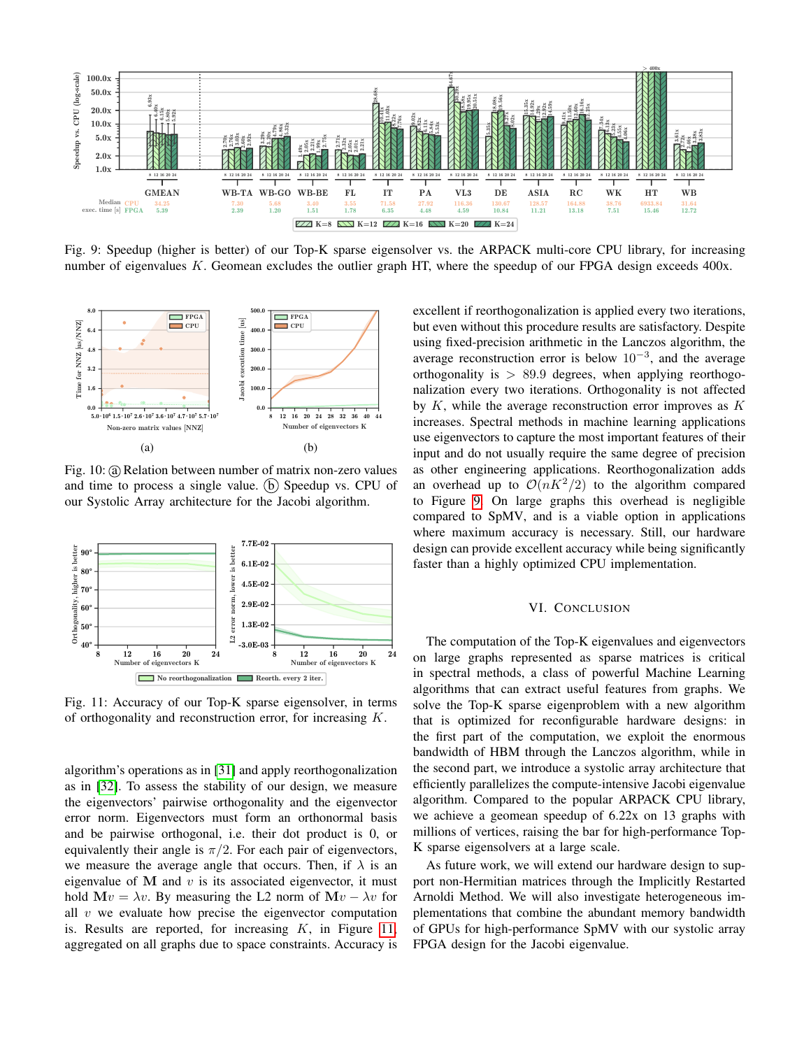<span id="page-7-0"></span>

Fig. 9: Speedup (higher is better) of our Top-K sparse eigensolver vs. the ARPACK multi-core CPU library, for increasing number of eigenvalues K. Geomean excludes the outlier graph HT, where the speedup of our FPGA design exceeds 400x.

<span id="page-7-1"></span>

Fig. 10: (a) Relation between number of matrix non-zero values and time to process a single value. (b) Speedup vs. CPU of our Systolic Array architecture for the Jacobi algorithm.

<span id="page-7-2"></span>

Fig. 11: Accuracy of our Top-K sparse eigensolver, in terms of orthogonality and reconstruction error, for increasing K.

algorithm's operations as in [\[31\]](#page-8-27) and apply reorthogonalization as in [\[32\]](#page-8-28). To assess the stability of our design, we measure the eigenvectors' pairwise orthogonality and the eigenvector error norm. Eigenvectors must form an orthonormal basis and be pairwise orthogonal, i.e. their dot product is 0, or equivalently their angle is  $\pi/2$ . For each pair of eigenvectors, we measure the average angle that occurs. Then, if  $\lambda$  is an eigenvalue of  $M$  and  $v$  is its associated eigenvector, it must hold  $Mv = \lambda v$ . By measuring the L2 norm of  $Mv - \lambda v$  for all  $v$  we evaluate how precise the eigenvector computation is. Results are reported, for increasing  $K$ , in Figure [11,](#page-7-2) aggregated on all graphs due to space constraints. Accuracy is excellent if reorthogonalization is applied every two iterations, but even without this procedure results are satisfactory. Despite using fixed-precision arithmetic in the Lanczos algorithm, the average reconstruction error is below  $10^{-3}$ , and the average orthogonality is  $> 89.9$  degrees, when applying reorthogonalization every two iterations. Orthogonality is not affected by  $K$ , while the average reconstruction error improves as  $K$ increases. Spectral methods in machine learning applications use eigenvectors to capture the most important features of their input and do not usually require the same degree of precision as other engineering applications. Reorthogonalization adds an overhead up to  $\mathcal{O}(nK^2/2)$  to the algorithm compared to Figure [9.](#page-7-0) On large graphs this overhead is negligible compared to SpMV, and is a viable option in applications where maximum accuracy is necessary. Still, our hardware design can provide excellent accuracy while being significantly faster than a highly optimized CPU implementation.

#### VI. CONCLUSION

The computation of the Top-K eigenvalues and eigenvectors on large graphs represented as sparse matrices is critical in spectral methods, a class of powerful Machine Learning algorithms that can extract useful features from graphs. We solve the Top-K sparse eigenproblem with a new algorithm that is optimized for reconfigurable hardware designs: in the first part of the computation, we exploit the enormous bandwidth of HBM through the Lanczos algorithm, while in the second part, we introduce a systolic array architecture that efficiently parallelizes the compute-intensive Jacobi eigenvalue algorithm. Compared to the popular ARPACK CPU library, we achieve a geomean speedup of 6.22x on 13 graphs with millions of vertices, raising the bar for high-performance Top-K sparse eigensolvers at a large scale.

As future work, we will extend our hardware design to support non-Hermitian matrices through the Implicitly Restarted Arnoldi Method. We will also investigate heterogeneous implementations that combine the abundant memory bandwidth of GPUs for high-performance SpMV with our systolic array FPGA design for the Jacobi eigenvalue.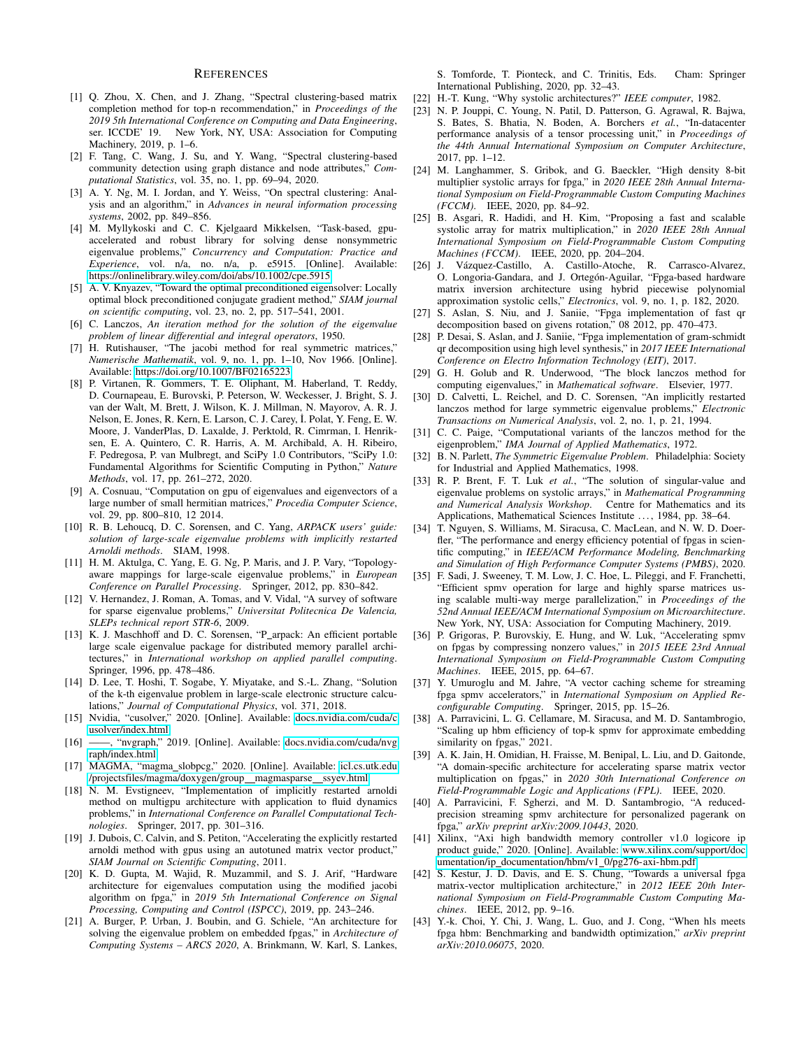## **REFERENCES**

- <span id="page-8-0"></span>[1] Q. Zhou, X. Chen, and J. Zhang, "Spectral clustering-based matrix completion method for top-n recommendation," in *Proceedings of the 2019 5th International Conference on Computing and Data Engineering*, ser. ICCDE' 19. New York, NY, USA: Association for Computing Machinery, 2019, p. 1–6.
- <span id="page-8-1"></span>[2] F. Tang, C. Wang, J. Su, and Y. Wang, "Spectral clustering-based community detection using graph distance and node attributes," *Computational Statistics*, vol. 35, no. 1, pp. 69–94, 2020.
- <span id="page-8-2"></span>[3] A. Y. Ng, M. I. Jordan, and Y. Weiss, "On spectral clustering: Analysis and an algorithm," in *Advances in neural information processing systems*, 2002, pp. 849–856.
- <span id="page-8-3"></span>[4] M. Myllykoski and C. C. Kjelgaard Mikkelsen, "Task-based, gpuaccelerated and robust library for solving dense nonsymmetric eigenvalue problems," *Concurrency and Computation: Practice and Experience*, vol. n/a, no. n/a, p. e5915. [Online]. Available: <https://onlinelibrary.wiley.com/doi/abs/10.1002/cpe.5915>
- <span id="page-8-4"></span>[5] A. V. Knyazev, "Toward the optimal preconditioned eigensolver: Locally optimal block preconditioned conjugate gradient method," *SIAM journal on scientific computing*, vol. 23, no. 2, pp. 517–541, 2001.
- <span id="page-8-5"></span>[6] C. Lanczos, *An iteration method for the solution of the eigenvalue problem of linear differential and integral operators*, 1950.
- <span id="page-8-6"></span>[7] H. Rutishauser, "The jacobi method for real symmetric matrices," *Numerische Mathematik*, vol. 9, no. 1, pp. 1–10, Nov 1966. [Online]. Available:<https://doi.org/10.1007/BF02165223>
- <span id="page-8-7"></span>[8] P. Virtanen, R. Gommers, T. E. Oliphant, M. Haberland, T. Reddy, D. Cournapeau, E. Burovski, P. Peterson, W. Weckesser, J. Bright, S. J. van der Walt, M. Brett, J. Wilson, K. J. Millman, N. Mayorov, A. R. J. Nelson, E. Jones, R. Kern, E. Larson, C. J. Carey, İ. Polat, Y. Feng, E. W. Moore, J. VanderPlas, D. Laxalde, J. Perktold, R. Cimrman, I. Henriksen, E. A. Quintero, C. R. Harris, A. M. Archibald, A. H. Ribeiro, F. Pedregosa, P. van Mulbregt, and SciPy 1.0 Contributors, "SciPy 1.0: Fundamental Algorithms for Scientific Computing in Python," *Nature Methods*, vol. 17, pp. 261–272, 2020.
- <span id="page-8-8"></span>[9] A. Cosnuau, "Computation on gpu of eigenvalues and eigenvectors of a large number of small hermitian matrices," *Procedia Computer Science*, vol. 29, pp. 800–810, 12 2014.
- <span id="page-8-9"></span>[10] R. B. Lehoucq, D. C. Sorensen, and C. Yang, *ARPACK users' guide: solution of large-scale eigenvalue problems with implicitly restarted Arnoldi methods*. SIAM, 1998.
- <span id="page-8-10"></span>[11] H. M. Aktulga, C. Yang, E. G. Ng, P. Maris, and J. P. Vary, "Topologyaware mappings for large-scale eigenvalue problems," in *European Conference on Parallel Processing*. Springer, 2012, pp. 830–842.
- [12] V. Hernandez, J. Roman, A. Tomas, and V. Vidal, "A survey of software for sparse eigenvalue problems," *Universitat Politecnica De Valencia, SLEPs technical report STR-6*, 2009.
- [13] K. J. Maschhoff and D. C. Sorensen, "P\_arpack: An efficient portable large scale eigenvalue package for distributed memory parallel architectures," in *International workshop on applied parallel computing*. Springer, 1996, pp. 478–486.
- <span id="page-8-11"></span>[14] D. Lee, T. Hoshi, T. Sogabe, Y. Miyatake, and S.-L. Zhang, "Solution of the k-th eigenvalue problem in large-scale electronic structure calculations," *Journal of Computational Physics*, vol. 371, 2018.
- <span id="page-8-12"></span>[15] Nvidia, "cusolver," 2020. [Online]. Available: [docs.nvidia.com/cuda/c](docs.nvidia.com/cuda/cusolver/index.html) [usolver/index.html](docs.nvidia.com/cuda/cusolver/index.html)
- <span id="page-8-13"></span>[16] ——, "nvgraph," 2019. [Online]. Available: [docs.nvidia.com/cuda/nvg](docs.nvidia.com/cuda/nvgraph/index.html) [raph/index.html](docs.nvidia.com/cuda/nvgraph/index.html)
- <span id="page-8-14"></span>[17] MAGMA, "magma\_slobpcg," 2020. [Online]. Available: [icl.cs.utk.edu](icl.cs.utk.edu/projectsfiles/magma/doxygen/group__magmasparse__ssyev.html) [/projectsfiles/magma/doxygen/group](icl.cs.utk.edu/projectsfiles/magma/doxygen/group__magmasparse__ssyev.html)\_magmasparse\_ssyev.html
- <span id="page-8-15"></span>[18] N. M. Evstigneev, "Implementation of implicitly restarted arnoldi method on multigpu architecture with application to fluid dynamics problems," in *International Conference on Parallel Computational Technologies*. Springer, 2017, pp. 301–316.
- <span id="page-8-16"></span>[19] J. Dubois, C. Calvin, and S. Petiton, "Accelerating the explicitly restarted arnoldi method with gpus using an autotuned matrix vector product," *SIAM Journal on Scientific Computing*, 2011.
- <span id="page-8-17"></span>[20] K. D. Gupta, M. Wajid, R. Muzammil, and S. J. Arif, "Hardware architecture for eigenvalues computation using the modified jacobi algorithm on fpga," in *2019 5th International Conference on Signal Processing, Computing and Control (ISPCC)*, 2019, pp. 243–246.
- <span id="page-8-18"></span>[21] A. Burger, P. Urban, J. Boubin, and G. Schiele, "An architecture for solving the eigenvalue problem on embedded fpgas," in *Architecture of Computing Systems – ARCS 2020*, A. Brinkmann, W. Karl, S. Lankes,

S. Tomforde, T. Pionteck, and C. Trinitis, Eds. Cham: Springer International Publishing, 2020, pp. 32–43.

- <span id="page-8-19"></span>[22] H.-T. Kung, "Why systolic architectures?" *IEEE computer*, 1982.
- <span id="page-8-20"></span>[23] N. P. Jouppi, C. Young, N. Patil, D. Patterson, G. Agrawal, R. Bajwa, S. Bates, S. Bhatia, N. Boden, A. Borchers *et al.*, "In-datacenter performance analysis of a tensor processing unit," in *Proceedings of the 44th Annual International Symposium on Computer Architecture*, 2017, pp. 1–12.
- [24] M. Langhammer, S. Gribok, and G. Baeckler, "High density 8-bit multiplier systolic arrays for fpga," in *2020 IEEE 28th Annual International Symposium on Field-Programmable Custom Computing Machines (FCCM)*. IEEE, 2020, pp. 84–92.
- <span id="page-8-21"></span>[25] B. Asgari, R. Hadidi, and H. Kim, "Proposing a fast and scalable systolic array for matrix multiplication," in *2020 IEEE 28th Annual International Symposium on Field-Programmable Custom Computing Machines (FCCM)*. IEEE, 2020, pp. 204–204.
- <span id="page-8-22"></span>[26] J. Vázquez-Castillo, A. Castillo-Atoche, R. Carrasco-Alvarez, O. Longoria-Gandara, and J. Ortegón-Aguilar, "Fpga-based hardware matrix inversion architecture using hybrid piecewise polynomial approximation systolic cells," *Electronics*, vol. 9, no. 1, p. 182, 2020.
- <span id="page-8-23"></span>[27] S. Aslan, S. Niu, and J. Saniie, "Fpga implementation of fast qr decomposition based on givens rotation," 08 2012, pp. 470–473.
- <span id="page-8-24"></span>[28] P. Desai, S. Aslan, and J. Saniie, "Fpga implementation of gram-schmidt qr decomposition using high level synthesis," in *2017 IEEE International Conference on Electro Information Technology (EIT)*, 2017.
- <span id="page-8-25"></span>[29] G. H. Golub and R. Underwood, "The block lanczos method for computing eigenvalues," in *Mathematical software*. Elsevier, 1977.
- <span id="page-8-26"></span>[30] D. Calvetti, L. Reichel, and D. C. Sorensen, "An implicitly restarted lanczos method for large symmetric eigenvalue problems," *Electronic Transactions on Numerical Analysis*, vol. 2, no. 1, p. 21, 1994.
- <span id="page-8-27"></span>[31] C. C. Paige, "Computational variants of the lanczos method for the eigenproblem," *IMA Journal of Applied Mathematics*, 1972.
- <span id="page-8-28"></span>[32] B. N. Parlett, *The Symmetric Eigenvalue Problem*. Philadelphia: Society for Industrial and Applied Mathematics, 1998.
- <span id="page-8-29"></span>[33] R. P. Brent, F. T. Luk *et al.*, "The solution of singular-value and eigenvalue problems on systolic arrays," in *Mathematical Programming and Numerical Analysis Workshop*. Centre for Mathematics and its Applications, Mathematical Sciences Institute ..., 1984, pp. 38-64.
- <span id="page-8-30"></span>[34] T. Nguyen, S. Williams, M. Siracusa, C. MacLean, and N. W. D. Doerfler, "The performance and energy efficiency potential of fpgas in scientific computing," in *IEEE/ACM Performance Modeling, Benchmarking and Simulation of High Performance Computer Systems (PMBS)*, 2020.
- <span id="page-8-31"></span>[35] F. Sadi, J. Sweeney, T. M. Low, J. C. Hoe, L. Pileggi, and F. Franchetti, "Efficient spmv operation for large and highly sparse matrices using scalable multi-way merge parallelization," in *Proceedings of the 52nd Annual IEEE/ACM International Symposium on Microarchitecture*. New York, NY, USA: Association for Computing Machinery, 2019.
- [36] P. Grigoras, P. Burovskiy, E. Hung, and W. Luk, "Accelerating spmv on fpgas by compressing nonzero values," in *2015 IEEE 23rd Annual International Symposium on Field-Programmable Custom Computing Machines*. IEEE, 2015, pp. 64–67.
- [37] Y. Umuroglu and M. Jahre, "A vector caching scheme for streaming fpga spmv accelerators," in *International Symposium on Applied Reconfigurable Computing*. Springer, 2015, pp. 15–26.
- [38] A. Parravicini, L. G. Cellamare, M. Siracusa, and M. D. Santambrogio, "Scaling up hbm efficiency of top-k spmv for approximate embedding similarity on fpgas," 2021.
- <span id="page-8-32"></span>[39] A. K. Jain, H. Omidian, H. Fraisse, M. Benipal, L. Liu, and D. Gaitonde, "A domain-specific architecture for accelerating sparse matrix vector multiplication on fpgas," in *2020 30th International Conference on Field-Programmable Logic and Applications (FPL)*. IEEE, 2020.
- <span id="page-8-33"></span>[40] A. Parravicini, F. Sgherzi, and M. D. Santambrogio, "A reducedprecision streaming spmv architecture for personalized pagerank on fpga," *arXiv preprint arXiv:2009.10443*, 2020.
- <span id="page-8-34"></span>[41] Xilinx, "Axi high bandwidth memory controller v1.0 logicore ip product guide," 2020. [Online]. Available: [www.xilinx.com/support/doc](www.xilinx.com/support/documentation/ip_documentation/hbm/v1_0/pg276-axi-hbm.pdf) umentation/ip\_[documentation/hbm/v1](www.xilinx.com/support/documentation/ip_documentation/hbm/v1_0/pg276-axi-hbm.pdf)\_0/pg276-axi-hbm.pdf
- <span id="page-8-35"></span>[42] S. Kestur, J. D. Davis, and E. S. Chung, "Towards a universal fpga matrix-vector multiplication architecture," in *2012 IEEE 20th International Symposium on Field-Programmable Custom Computing Machines*. IEEE, 2012, pp. 9–16.
- <span id="page-8-36"></span>[43] Y.-k. Choi, Y. Chi, J. Wang, L. Guo, and J. Cong, "When hls meets fpga hbm: Benchmarking and bandwidth optimization," *arXiv preprint arXiv:2010.06075*, 2020.